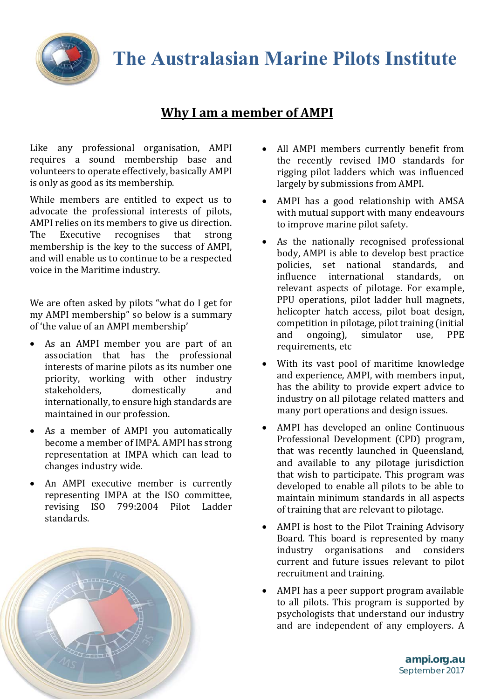

## **The Australasian Marine Pilots Institute**

## **Why I am a member of AMPI**

Like any professional organisation, AMPI requires a sound membership base and volunteers to operate effectively, basically AMPI is only as good as its membership.

While members are entitled to expect us to advocate the professional interests of pilots, AMPI relies on its members to give us direction. The Executive recognises that strong membership is the key to the success of AMPI. and will enable us to continue to be a respected voice in the Maritime industry.

We are often asked by pilots "what do I get for my AMPI membership" so below is a summary of 'the value of an AMPI membership'

- As an AMPI member you are part of an association that has the professional interests of marine pilots as its number one priority, working with other industry stakeholders, domestically and internationally, to ensure high standards are maintained in our profession.
- As a member of AMPI you automatically become a member of IMPA. AMPI has strong representation at IMPA which can lead to changes industry wide.
- An AMPI executive member is currently representing IMPA at the ISO committee, revising ISO 799:2004 Pilot Ladder standards.



- All AMPI members currently benefit from the recently revised IMO standards for rigging pilot ladders which was influenced largely by submissions from AMPI.
- AMPI has a good relationship with AMSA with mutual support with many endeavours to improve marine pilot safety.
- As the nationally recognised professional body, AMPI is able to develop best practice policies, set national standards, and influence international standards, on relevant aspects of pilotage. For example, PPU operations, pilot ladder hull magnets, helicopter hatch access, pilot boat design, competition in pilotage, pilot training (initial and ongoing), simulator use, PPE requirements, etc
- With its vast pool of maritime knowledge and experience, AMPI, with members input, has the ability to provide expert advice to industry on all pilotage related matters and many port operations and design issues.
- AMPI has developed an online Continuous Professional Development (CPD) program, that was recently launched in Oueensland, and available to any pilotage jurisdiction that wish to participate. This program was developed to enable all pilots to be able to maintain minimum standards in all aspects of training that are relevant to pilotage.
- AMPI is host to the Pilot Training Advisory Board. This board is represented by many industry organisations and considers current and future issues relevant to pilot recruitment and training.
- AMPI has a peer support program available to all pilots. This program is supported by psychologists that understand our industry and are independent of any employers. A